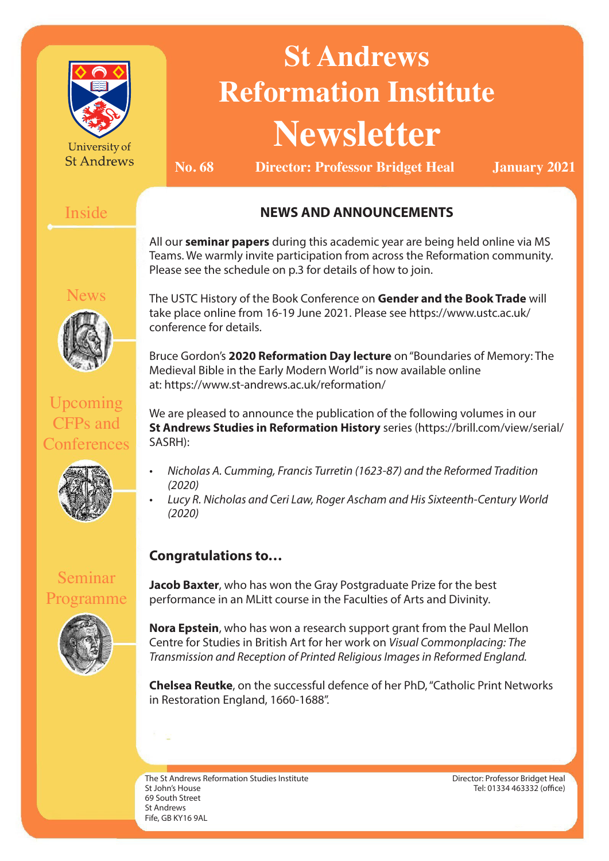| University of<br><b>St Andrews</b>         | <b>St Andrews</b><br><b>Reformation Institute</b><br><b>Newsletter</b><br>No. 68<br><b>Director: Professor Bridget Heal</b><br><b>January 2021</b>                                                                                                                                                                                                                                                                                                                                             |                                                                                                                                             |                                  |
|--------------------------------------------|------------------------------------------------------------------------------------------------------------------------------------------------------------------------------------------------------------------------------------------------------------------------------------------------------------------------------------------------------------------------------------------------------------------------------------------------------------------------------------------------|---------------------------------------------------------------------------------------------------------------------------------------------|----------------------------------|
| Inside                                     | <b>NEWS AND ANNOUNCEMENTS</b>                                                                                                                                                                                                                                                                                                                                                                                                                                                                  |                                                                                                                                             |                                  |
| <b>News</b>                                | All our seminar papers during this academic year are being held online via MS<br>Teams. We warmly invite participation from across the Reformation community.<br>Please see the schedule on p.3 for details of how to join.<br>The USTC History of the Book Conference on Gender and the Book Trade will<br>take place online from 16-19 June 2021. Please see https://www.ustc.ac.uk/<br>conference for details.<br>Bruce Gordon's 2020 Reformation Day lecture on "Boundaries of Memory: The |                                                                                                                                             |                                  |
| Upcoming<br><b>CFPs</b> and<br>Conferences | Medieval Bible in the Early Modern World" is now available online<br>at: https://www.st-andrews.ac.uk/reformation/<br>We are pleased to announce the publication of the following volumes in our<br>St Andrews Studies in Reformation History series (https://brill.com/view/serial/<br>SASRH):                                                                                                                                                                                                |                                                                                                                                             |                                  |
|                                            | Nicholas A. Cumming, Francis Turretin (1623-87) and the Reformed Tradition<br>(2020)<br>Lucy R. Nicholas and Ceri Law, Roger Ascham and His Sixteenth-Century World<br>(2020)                                                                                                                                                                                                                                                                                                                  |                                                                                                                                             |                                  |
|                                            | <b>Congratulations to</b>                                                                                                                                                                                                                                                                                                                                                                                                                                                                      |                                                                                                                                             |                                  |
| Seminar<br>Programme                       |                                                                                                                                                                                                                                                                                                                                                                                                                                                                                                | Jacob Baxter, who has won the Gray Postgraduate Prize for the best<br>performance in an MLitt course in the Faculties of Arts and Divinity. |                                  |
|                                            | Nora Epstein, who has won a research support grant from the Paul Mellon<br>Centre for Studies in British Art for her work on Visual Commonplacing: The<br>Transmission and Reception of Printed Religious Images in Reformed England.                                                                                                                                                                                                                                                          |                                                                                                                                             |                                  |
|                                            | <b>Chelsea Reutke, on the successful defence of her PhD, "Catholic Print Networks</b><br>in Restoration England, 1660-1688".                                                                                                                                                                                                                                                                                                                                                                   |                                                                                                                                             |                                  |
|                                            | The St Androws Peformation Studies Institute                                                                                                                                                                                                                                                                                                                                                                                                                                                   |                                                                                                                                             | Director: Professor Bridget Heal |

The St Andrews Reformation Studies Institute St John's House 69 South Street St Andrews Fife, GB KY16 9AL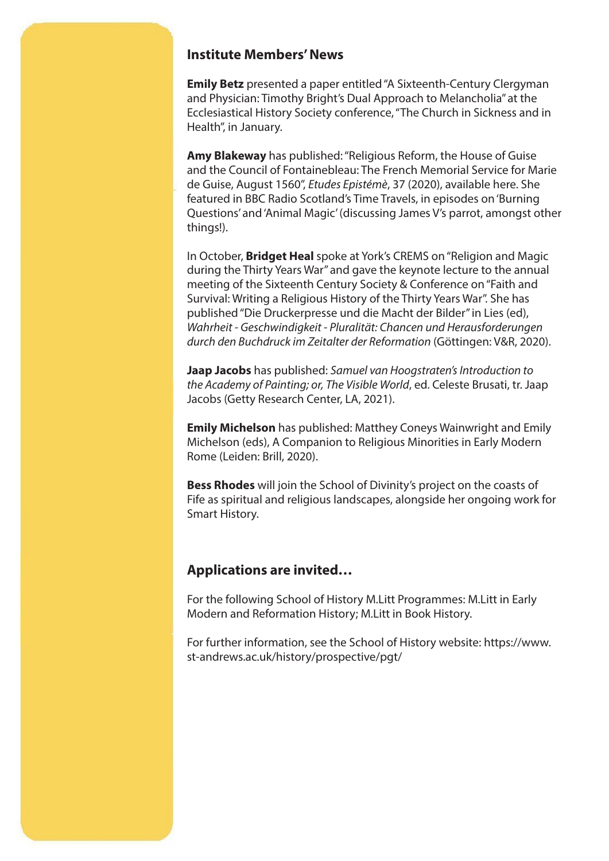#### **Institute Members' News**

**Emily Betz** presented a paper entitled "A Sixteenth-Century Clergyman and Physician: Timothy Bright's Dual Approach to Melancholia" at the Ecclesiastical History Society conference, "The Church in Sickness and in Health", in January.

**Amy Blakeway** has published: "Religious Reform, the House of Guise and the Council of Fontainebleau: The French Memorial Service for Marie de Guise, August 1560", *Etudes Epistémè*, 37 (2020), available here. She featured in BBC Radio Scotland's Time Travels, in episodes on 'Burning Questions' and 'Animal Magic' (discussing James V's parrot, amongst other things!).

In October, **Bridget Heal** spoke at York's CREMS on "Religion and Magic during the Thirty Years War" and gave the keynote lecture to the annual meeting of the Sixteenth Century Society & Conference on "Faith and Survival: Writing a Religious History of the Thirty Years War". She has published "Die Druckerpresse und die Macht der Bilder" in Lies (ed), *Wahrheit - Geschwindigkeit - Pluralität: Chancen und Herausforderungen durch den Buchdruck im Zeitalter der Reformation* (Göttingen: V&R, 2020).

**Jaap Jacobs** has published: *Samuel van Hoogstraten's Introduction to the Academy of Painting; or, The Visible World*, ed. Celeste Brusati, tr. Jaap Jacobs (Getty Research Center, LA, 2021).

**Emily Michelson** has published: Matthey Coneys Wainwright and Emily Michelson (eds), A Companion to Religious Minorities in Early Modern Rome (Leiden: Brill, 2020).

**Bess Rhodes** will join the School of Divinity's project on the coasts of Fife as spiritual and religious landscapes, alongside her ongoing work for Smart History.

#### **Applications are invited…**

For the following School of History M.Litt Programmes: M.Litt in Early Modern and Reformation History; M.Litt in Book History.

For further information, see the School of History website: https://www. st-andrews.ac.uk/history/prospective/pgt/